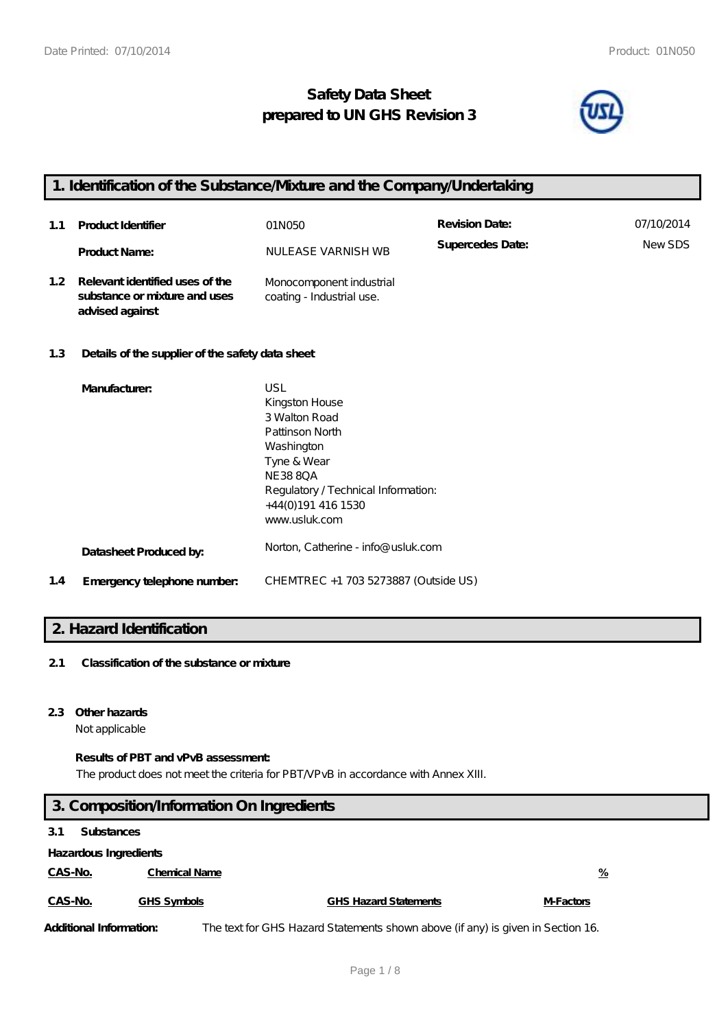# **Safety Data Sheet prepared to UN GHS Revision 3**



# **1. Identification of the Substance/Mixture and the Company/Undertaking**

| 1.1              | <b>Product Identifier</b>                                                           | 01 N 0 5 0                                            | <b>Revision Date:</b> | 07/10/2014 |
|------------------|-------------------------------------------------------------------------------------|-------------------------------------------------------|-----------------------|------------|
|                  | <b>Product Name:</b>                                                                | NULEASE VARNISH WB                                    | Supercedes Date:      | NewSDS     |
| 1.2 <sub>1</sub> | Relevant identified uses of the<br>substance or mixture and uses<br>advised against | Monocomponent industrial<br>coating - Industrial use. |                       |            |

# **1.3 Details of the supplier of the safety data sheet**

|     | Manufacturer:               | USL                                  |
|-----|-----------------------------|--------------------------------------|
|     |                             | Kingston House                       |
|     |                             | 3 Walton Road                        |
|     |                             | Pattinson North                      |
|     |                             | Washington                           |
|     |                             | Tyne & Wear                          |
|     |                             | <b>NE3880A</b>                       |
|     |                             | Regulatory / Technical Information:  |
|     |                             | +44(0)191 416 1530                   |
|     |                             | www.usluk.com                        |
|     | Datasheet Produced by:      | Norton, Catherine - info@ usluk.com  |
| 1.4 | Emergency telephone number. | CHEMTREC +1 703 5273887 (Outside US) |

# **2. Hazard Identification**

# **2.1 Classification of the substance or mixture**

#### **2.3 Other hazards**

Not applicable

#### **Results of PBT and vPvB assessment:**

The product does not meet the criteria for PBT/VPvB in accordance with Annex XIII.

# **3. Composition/Information On Ingredients**

# **3.1 Substances**

**Hazardous Ingredients**

| <u>CAS-No.</u> | <b>Chemical Name</b> |                              | <u>%</u>         |
|----------------|----------------------|------------------------------|------------------|
| CAS-No.        | GHS Symbols          | <b>GHS Hazard Statements</b> | <b>M-Factors</b> |

Additional Information: The text for GHS Hazard Statements shown above (if any) is given in Section 16.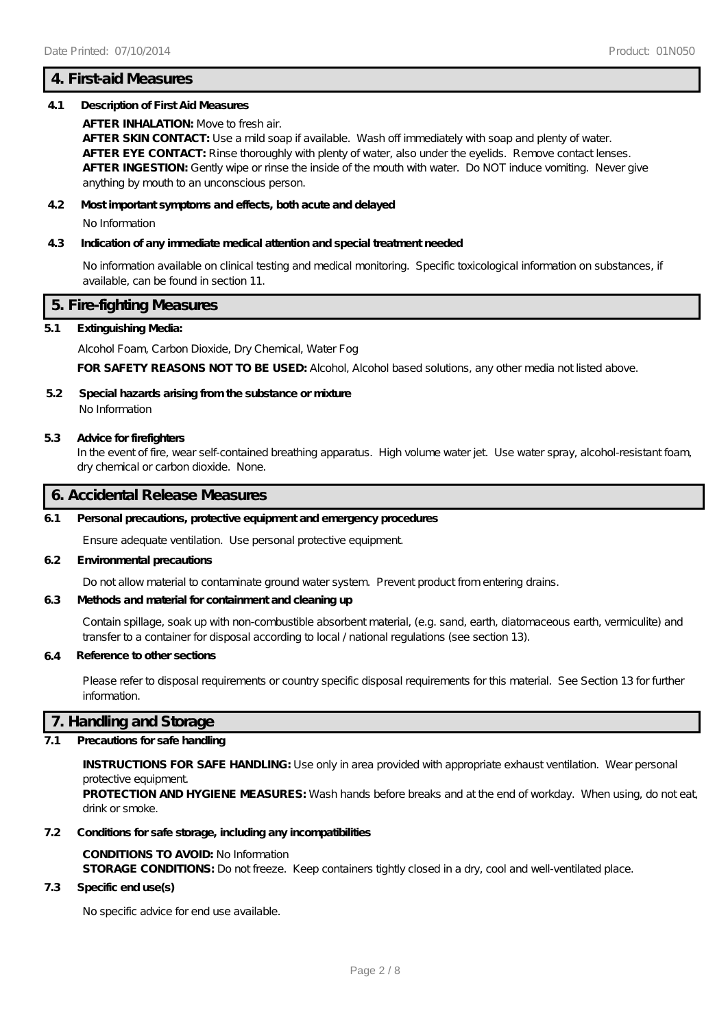# **4. First-aid Measures**

# **4.1 Description of First Aid Measures**

#### **AFTER INHALATION:** Move to fresh air.

**AFTER SKIN CONTACT:** Use a mild soap if available. Wash off immediately with soap and plenty of water. **AFTER EYE CONTACT:** Rinse thoroughly with plenty of water, also under the eyelids. Remove contact lenses. AFTER INGESTION: Gently wipe or rinse the inside of the mouth with water. Do NOT induce vomiting. Never give anything by mouth to an unconscious person.

#### **4.2 Most important symptoms and effects, both acute and delayed**

No Information

#### **4.3 Indication of any immediate medical attention and special treatment needed**

No information available on clinical testing and medical monitoring. Specific toxicological information on substances, if available, can be found in section 11.

# **5. Fire-fighting Measures**

#### **5.1 Extinguishing Media:**

Alcohol Foam, Carbon Dioxide, Dry Chemical, Water Fog

**FOR SAFETY REASONS NOT TO BE USED:** Alcohol, Alcohol based solutions, any other media not listed above.

# **5.2 Special hazards arising from the substance or mixture**

No Information

#### **5.3 Advice for firefighters**

In the event of fire, wear self-contained breathing apparatus. High volume water jet. Use water spray, alcohol-resistant foam, dry chemical or carbon dioxide. None.

# **6. Accidental Release Measures**

#### **6.1 Personal precautions, protective equipment and emergency procedures**

Ensure adequate ventilation. Use personal protective equipment.

### **6.2 Environmental precautions**

Do not allow material to contaminate ground water system. Prevent product from entering drains.

### **6.3 Methods and material for containment and cleaning up**

Contain spillage, soak up with non-combustible absorbent material, (e.g. sand, earth, diatomaceous earth, vermiculite) and transfer to a container for disposal according to local / national regulations (see section 13).

#### **6.4 Reference to other sections**

Please refer to disposal requirements or country specific disposal requirements for this material. See Section 13 for further information.

# **7. Handling and Storage**

# **7.1 Precautions for safe handling**

**INSTRUCTIONS FOR SAFE HANDLING:** Use only in area provided with appropriate exhaust ventilation. Wear personal protective equipment.

**PROTECTION AND HYGIENE MEASURES:** Wash hands before breaks and at the end of workday. When using, do not eat, drink or smoke.

#### **7.2 Conditions for safe storage, including any incompatibilities**

#### **CONDITIONS TO AVOID:** No Information

**STORAGE CONDITIONS:** Do not freeze. Keep containers tightly closed in a dry, cool and well-ventilated place.

#### **7.3 Specific end use(s)**

No specific advice for end use available.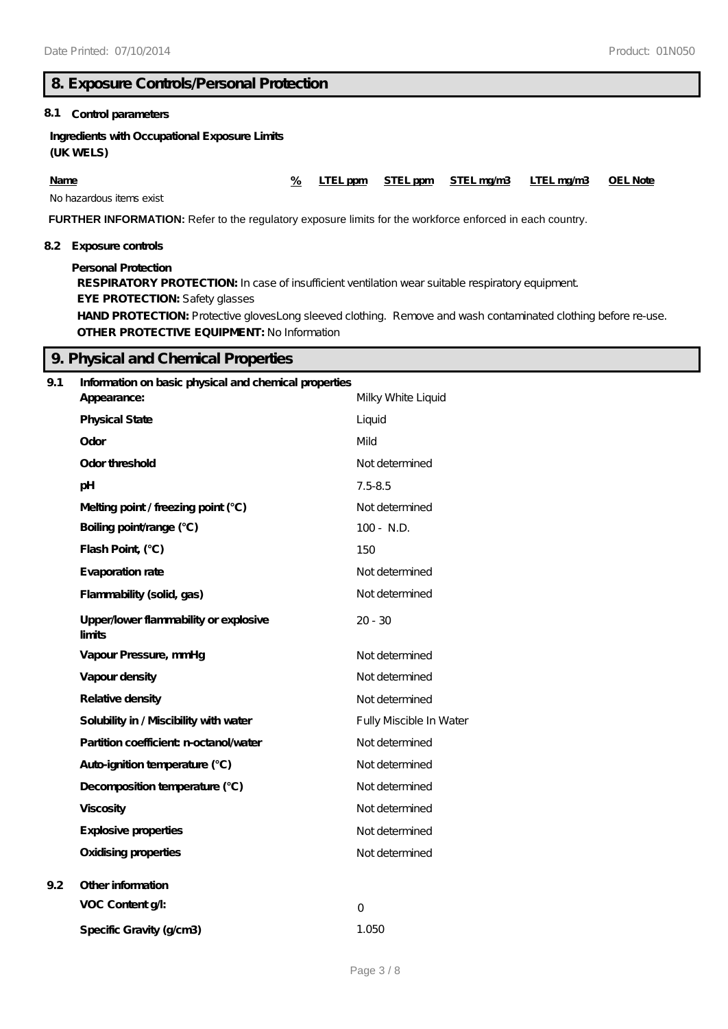# **8. Exposure Controls/Personal Protection**

### **8.1 Control parameters**

**Ingredients with Occupational Exposure Limits (UK WELS)**

**Name % LTEL ppm STEL ppm STEL mg/m3 LTEL mg/m3 OEL Note**

No hazardous items exist

**FURTHER INFORMATION:** Refer to the regulatory exposure limits for the workforce enforced in each country.

#### **8.2 Exposure controls**

**Personal Protection**

**RESPIRATORY PROTECTION:** In case of insufficient ventilation wear suitable respiratory equipment.

**EYE PROTECTION:** Safety glasses

HAND PROTECTION: Protective glovesLong sleeved clothing. Remove and wash contaminated clothing before re-use. **OTHER PROTECTIVE EQUIPMENT:** No Information

# **9. Physical and Chemical Properties**

| 9.1 | Information on basic physical and chemical properties<br>Appearance: | Milky White Liquid      |
|-----|----------------------------------------------------------------------|-------------------------|
|     | <b>Physical State</b>                                                | Liquid                  |
|     | Odor                                                                 | Mild                    |
|     | Odor threshold                                                       | Not determined          |
|     | pH                                                                   | $7.5 - 8.5$             |
|     | Melting point / freezing point (°C)                                  | Not determined          |
|     | Boiling point/range (°C)                                             | $100 - N.D.$            |
|     | Flash Point, (°C)                                                    | 150                     |
|     | Evaporation rate                                                     | Not determined          |
|     | Flammability (solid, gas)                                            | Not determined          |
|     | Upper/lower flammability or explosive<br>limits                      | $20 - 30$               |
|     | Vapour Pressure, mmHg                                                | Not determined          |
|     | Vapour density                                                       | Not determined          |
|     | Relative density                                                     | Not determined          |
|     | Solubility in / Miscibility with water                               | Fully Miscible In Water |
|     | Partition coefficient n-octanol/water                                | Not determined          |
|     | Auto-ignition temperature (°C)                                       | Not determined          |
|     | Decomposition temperature (°C)                                       | Not determined          |
|     | <b>Viscosity</b>                                                     | Not determined          |
|     | Explosive properties                                                 | Not determined          |
|     | <b>Oxidising properties</b>                                          | Not determined          |
| 9.2 | Other information                                                    |                         |
|     | VOC Content g/l:                                                     | $\circ$                 |
|     | Specific Gravity (g/cm3)                                             | 1.050                   |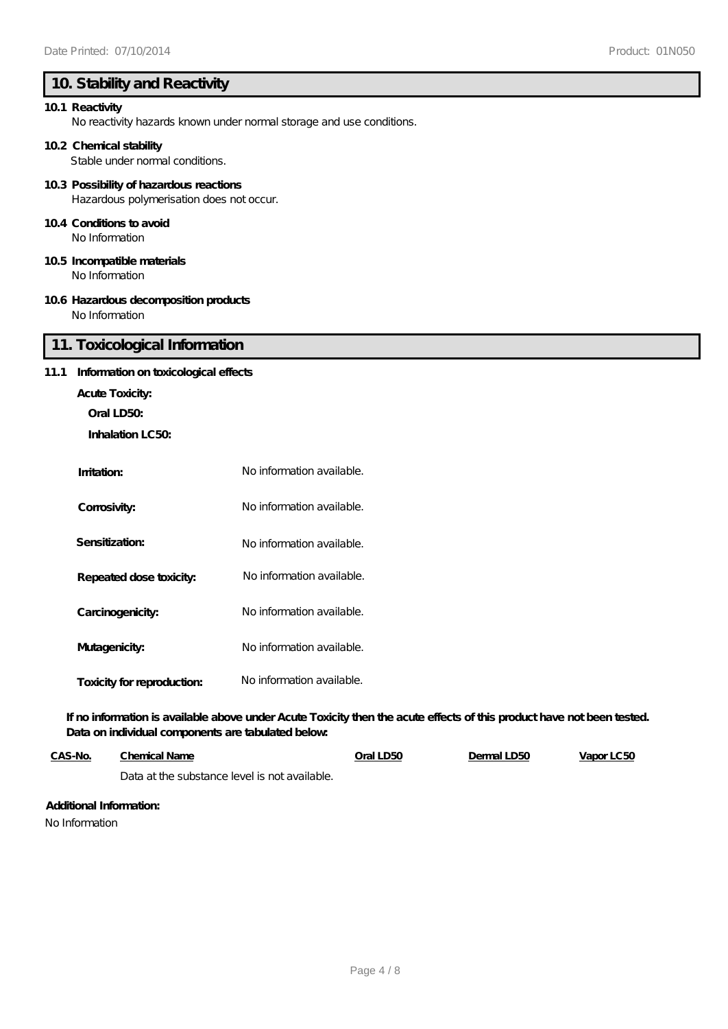# **10. Stability and Reactivity**

#### **10.1 Reactivity**

No reactivity hazards known under normal storage and use conditions.

#### **10.2 Chemical stability**

Stable under normal conditions.

# **10.3 Possibility of hazardous reactions**

Hazardous polymerisation does not occur.

# **10.4 Conditions to avoid**

No Information

#### **10.5 Incompatible materials**

No Information

# **10.6 Hazardous decomposition products**

No Information

# **11. Toxicological Information**

#### **11.1 Information on toxicological effects**

**Acute Toxicity:**

# **Oral LD50:**

**Inhalation LC50:**

| Imitation:                 | No information available. |
|----------------------------|---------------------------|
| Corrosivity:               | No information available. |
| Sensitization:             | No information available. |
| Repeated dose toxicity:    | No information available. |
| Carcinogenicity:           | No information available. |
| Mutagenicity:              | No information available. |
| Toxicity for reproduction: | No information available. |

### **If no information is available above under Acute Toxicity then the acute effects of this product have not been tested. Data on individual components are tabulated below:**

| CAS-No. | <b>Chemical Name</b>                         | Oral LD50 | Dermal LD50 | Vapor LC50 |
|---------|----------------------------------------------|-----------|-------------|------------|
|         | Data at the substance level is not available |           |             |            |

Data at the substance level is not available.

#### **Additional Information:**

No Information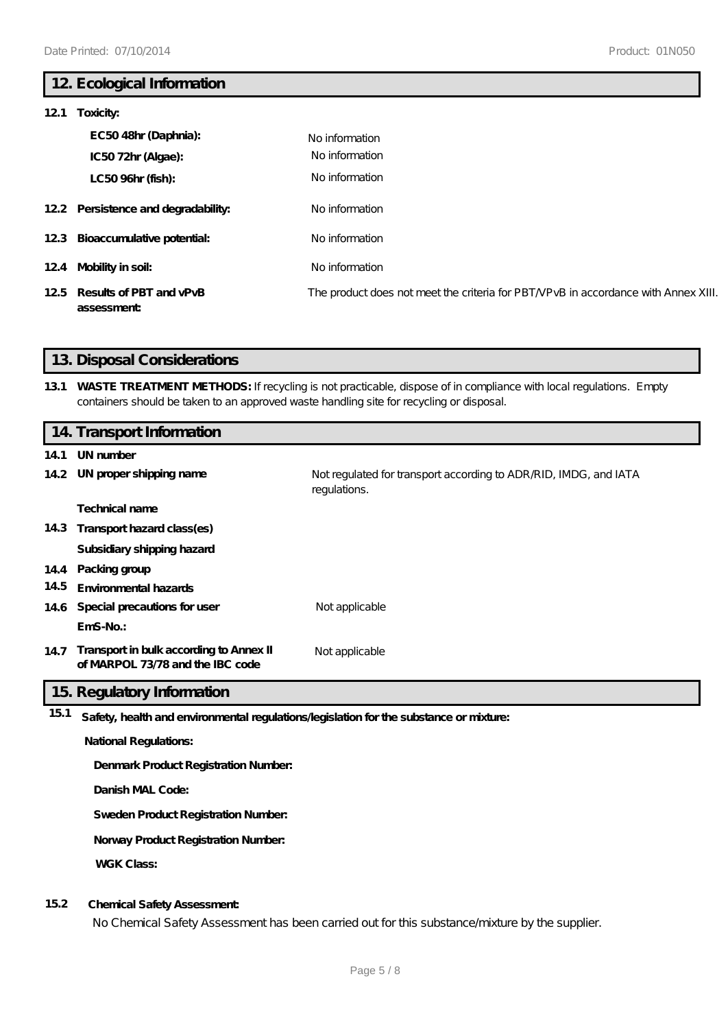# **12. Ecological Information**

| 121 | Toxicity:                                 |                                                                                    |
|-----|-------------------------------------------|------------------------------------------------------------------------------------|
|     | EC5048hr (Daphnia):<br>IC5072hr (Algae):  | No information<br>No information                                                   |
|     | LC50 96hr (fish):                         | No information                                                                     |
|     | 12.2 Persistence and degradability:       | No information                                                                     |
|     | 12.3 Bioaccumulative potential:           | No information                                                                     |
|     | 124 Mobility in soil:                     | No information                                                                     |
|     | 125 Results of PBT and vPvB<br>assessment | The product does not meet the criteria for PBT/VPvB in accordance with Annex XIII. |

# **13. Disposal Considerations**

**13.1 WASTE TREATMENT METHODS:** If recycling is not practicable, dispose of in compliance with local regulations. Empty containers should be taken to an approved waste handling site for recycling or disposal.

#### **14. Transport Information**

- **14.1 UN number**
- **14.2 UN proper shipping name** Not regulated for transport according to ADR/RID, IMDG, and IATA regulations. **Technical name 14.3 Transport hazard class(es) Subsidiary shipping hazard 14.4 Packing group 14.5 Environmental hazards 14.6 Special precautions for user** Not applicable **EmS-No.:**
- **14.7 Transport in bulk according to Annex II** Not applicable **of MARPOL 73/78 and the IBC code**

# **15. Regulatory Information**

**15.1 Safety, health and environmental regulations/legislation for the substance or mixture:**

#### **National Regulations:**

**Denmark Product Registration Number:**

**Danish MAL Code:**

**Sweden Product Registration Number:**

**Norway Product Registration Number:**

**WGK Class:**

# **15.2 Chemical Safety Assessment:**

No Chemical Safety Assessment has been carried out for this substance/mixture by the supplier.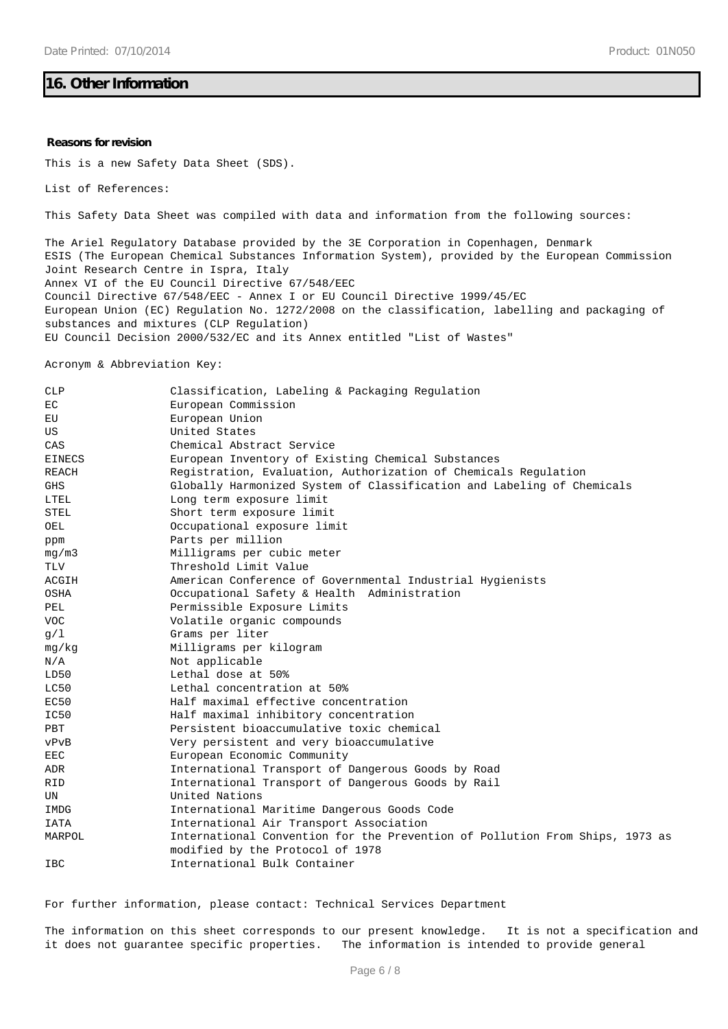#### **16. Other Information**

#### **Reasons for revision**

This is a new Safety Data Sheet (SDS).

List of References:

This Safety Data Sheet was compiled with data and information from the following sources:

The Ariel Regulatory Database provided by the 3E Corporation in Copenhagen, Denmark ESIS (The European Chemical Substances Information System), provided by the European Commission Joint Research Centre in Ispra, Italy Annex VI of the EU Council Directive 67/548/EEC Council Directive 67/548/EEC - Annex I or EU Council Directive 1999/45/EC European Union (EC) Regulation No. 1272/2008 on the classification, labelling and packaging of substances and mixtures (CLP Regulation) EU Council Decision 2000/532/EC and its Annex entitled "List of Wastes"

Acronym & Abbreviation Key:

| <b>CLP</b>    | Classification, Labeling & Packaging Regulation                              |
|---------------|------------------------------------------------------------------------------|
| EC.           | European Commission                                                          |
| EU            | European Union                                                               |
| US            | United States                                                                |
| CAS           | Chemical Abstract Service                                                    |
| <b>EINECS</b> | European Inventory of Existing Chemical Substances                           |
| <b>REACH</b>  | Registration, Evaluation, Authorization of Chemicals Regulation              |
| <b>GHS</b>    | Globally Harmonized System of Classification and Labeling of Chemicals       |
| LTEL          | Long term exposure limit                                                     |
| <b>STEL</b>   | Short term exposure limit                                                    |
| OEL           | Occupational exposure limit                                                  |
| ppm           | Parts per million                                                            |
| mg/m3         | Milligrams per cubic meter                                                   |
| TLV           | Threshold Limit Value                                                        |
| ACGIH         | American Conference of Governmental Industrial Hygienists                    |
| OSHA          | Occupational Safety & Health Administration                                  |
| PEL           | Permissible Exposure Limits                                                  |
| <b>VOC</b>    | Volatile organic compounds                                                   |
| q/1           | Grams per liter                                                              |
| mg/kg         | Milligrams per kilogram                                                      |
| N/A           | Not applicable                                                               |
| LD50          | Lethal dose at 50%                                                           |
| LC50          | Lethal concentration at 50%                                                  |
| EC50          | Half maximal effective concentration                                         |
| IC50          | Half maximal inhibitory concentration                                        |
| PBT           | Persistent bioaccumulative toxic chemical                                    |
| vPvB          | Very persistent and very bioaccumulative                                     |
| EEC           | European Economic Community                                                  |
| ADR           | International Transport of Dangerous Goods by Road                           |
| <b>RID</b>    | International Transport of Dangerous Goods by Rail                           |
| UN.           | United Nations                                                               |
| IMDG          | International Maritime Dangerous Goods Code                                  |
| <b>IATA</b>   | International Air Transport Association                                      |
| MARPOL        | International Convention for the Prevention of Pollution From Ships, 1973 as |
|               | modified by the Protocol of 1978                                             |
| <b>IBC</b>    | International Bulk Container                                                 |

For further information, please contact: Technical Services Department

The information on this sheet corresponds to our present knowledge. It is not a specification and it does not guarantee specific properties. The information is intended to provide general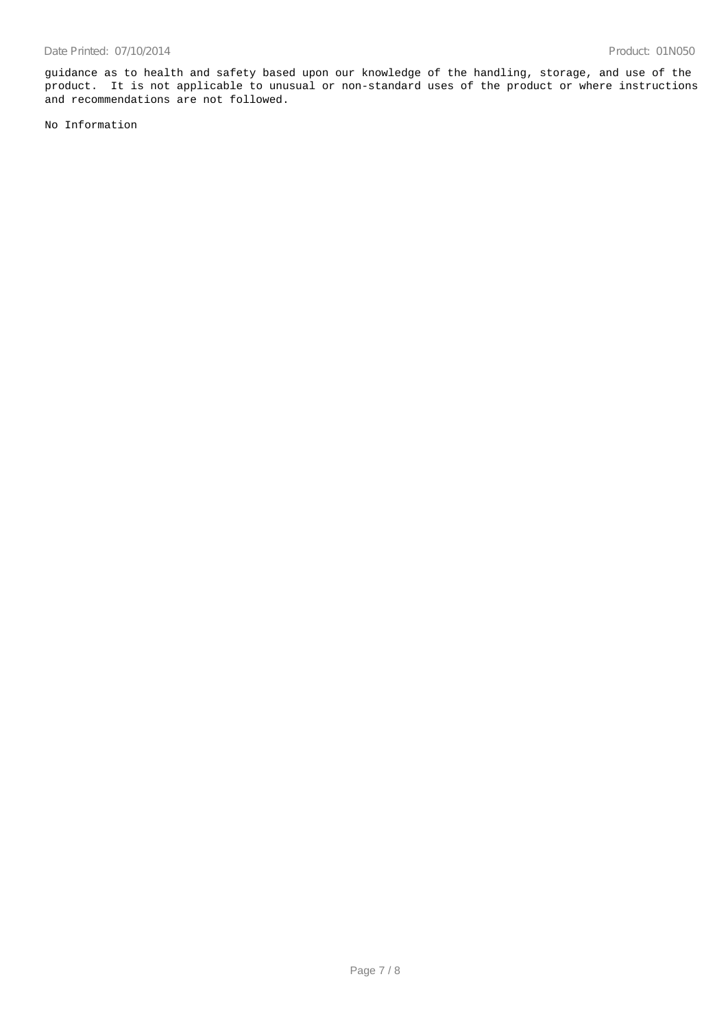guidance as to health and safety based upon our knowledge of the handling, storage, and use of the product. It is not applicable to unusual or non-standard uses of the product or where instructions and recommendations are not followed.

No Information